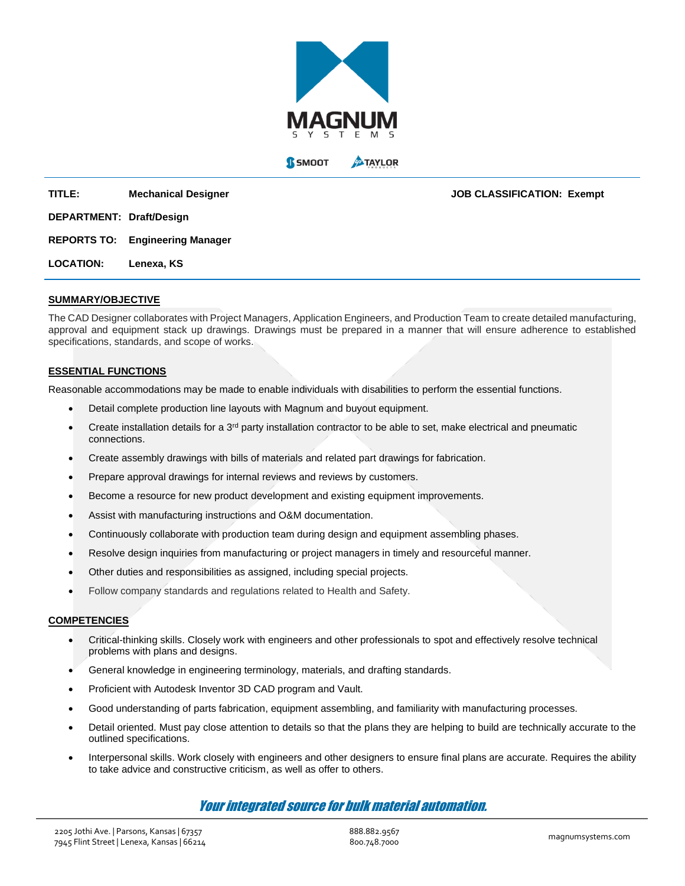

**TITLE: Mechanical Designer JOB CLASSIFICATION: Exempt DEPARTMENT: Draft/Design REPORTS TO: Engineering Manager**

**LOCATION: Lenexa, KS**

# **SUMMARY/OBJECTIVE**

The CAD Designer collaborates with Project Managers, Application Engineers, and Production Team to create detailed manufacturing, approval and equipment stack up drawings. Drawings must be prepared in a manner that will ensure adherence to established specifications, standards, and scope of works.

# **ESSENTIAL FUNCTIONS**

Reasonable accommodations may be made to enable individuals with disabilities to perform the essential functions.

- Detail complete production line layouts with Magnum and buyout equipment.
- Create installation details for a  $3<sup>rd</sup>$  party installation contractor to be able to set, make electrical and pneumatic connections.
- Create assembly drawings with bills of materials and related part drawings for fabrication.
- Prepare approval drawings for internal reviews and reviews by customers.
- Become a resource for new product development and existing equipment improvements.
- Assist with manufacturing instructions and O&M documentation.
- Continuously collaborate with production team during design and equipment assembling phases.
- Resolve design inquiries from manufacturing or project managers in timely and resourceful manner.
- Other duties and responsibilities as assigned, including special projects.
- Follow company standards and regulations related to Health and Safety.

## **COMPETENCIES**

- Critical-thinking skills. Closely work with engineers and other professionals to spot and effectively resolve technical problems with plans and designs.
- General knowledge in engineering terminology, materials, and drafting standards.
- Proficient with Autodesk Inventor 3D CAD program and Vault.
- Good understanding of parts fabrication, equipment assembling, and familiarity with manufacturing processes.
- Detail oriented. Must pay close attention to details so that the plans they are helping to build are technically accurate to the outlined specifications.
- Interpersonal skills. Work closely with engineers and other designers to ensure final plans are accurate. Requires the ability to take advice and constructive criticism, as well as offer to others.

# Your integrated source for bulk material automation.